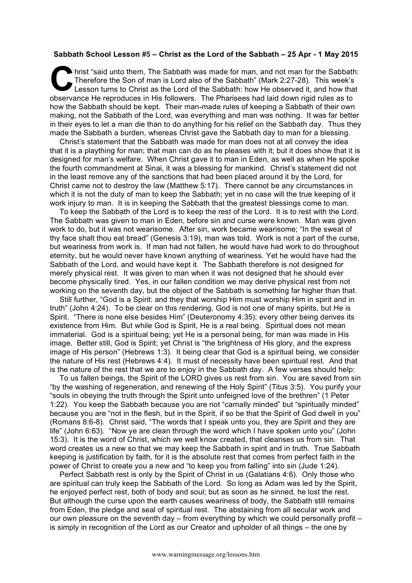## **Sabbath School Lesson #5 – Christ as the Lord of the Sabbath – 25 Apr - 1 May 2015**

hrist "said unto them, The Sabbath was made for man, and not man for the Sabbath: Therefore the Son of man is Lord also of the Sabbath" (Mark 2:27-28). This week's Lesson turns to Christ as the Lord of the Sabbath: how He observed it, and how that observance He reproduces in His followers. The Pharisees had laid down rigid rules as to how the Sabbath should be kept. Their man-made rules of keeping a Sabbath of their own making, not the Sabbath of the Lord, was everything and man was nothing. It was far better in their eyes to let a man die than to do anything for his relief on the Sabbath day. Thus they made the Sabbath a burden, whereas Christ gave the Sabbath day to man for a blessing. C hris

Christ's statement that the Sabbath was made for man does not at all convey the idea that it is a plaything for man; that man can do as he pleases with it; but it does show that it is designed for man's welfare. When Christ gave it to man in Eden, as well as when He spoke the fourth commandment at Sinai, it was a blessing for mankind. Christ's statement did not in the least remove any of the sanctions that had been placed around it by the Lord, for Christ came not to destroy the law (Matthew 5:17). There cannot be any circumstances in which it is not the duty of man to keep the Sabbath; yet in no case will the true keeping of it work injury to man. It is in keeping the Sabbath that the greatest blessings come to man.

To keep the Sabbath of the Lord is to keep the rest of the Lord. It is to rest with the Lord. The Sabbath was given to man in Eden, before sin and curse were known. Man was given work to do, but it was not wearisome. After sin, work became wearisome; "In the sweat of thy face shalt thou eat bread" (Genesis 3:19), man was told. Work is not a part of the curse, but weariness from work is. If man had not fallen, he would have had work to do throughout eternity, but he would never have known anything of weariness. Yet he would have had the Sabbath of the Lord, and would have kept it. The Sabbath therefore is not designed for merely physical rest. It was given to man when it was not designed that he should ever become physically tired. Yes, in our fallen condition we may derive physical rest from not working on the seventh day, but the object of the Sabbath is something far higher than that.

Still further, "God is a Spirit: and they that worship Him must worship Him in spirit and in truth" (John 4:24). To be clear on this rendering, God is not one of many spirits, but He is Spirit. "There is none else besides Him" (Deuteronomy 4:35); every other being derives its existence from Him. But while God is Spirit, He is a real being. Spiritual does not mean immaterial. God is a spiritual being; yet He is a personal being, for man was made in His image. Better still, God is Spirit; yet Christ is "the brightness of His glory, and the express image of His person" (Hebrews 1:3). It being clear that God is a spiritual being, we consider the nature of His rest (Hebrews 4:4). It must of necessity have been spiritual rest. And that is the nature of the rest that we are to enjoy in the Sabbath day. A few verses should help:

To us fallen beings, the Spirit of the LORD gives us rest from sin. You are saved from sin "by the washing of regeneration, and renewing of the Holy Spirit" (Titus 3:5). You purify your "souls in obeying the truth through the Spirit unto unfeigned love of the brethren" (1 Peter 1:22). You keep the Sabbath because you are not "carnally minded" but "spiritually minded" because you are "not in the flesh, but in the Spirit, if so be that the Spirit of God dwell in you" (Romans 8:6-8). Christ said, "The words that I speak unto you, they are Spirit and they are life" (John 6:63). "Now ye are clean through the word which I have spoken unto you" (John 15:3). It is the word of Christ, which we well know created, that cleanses us from sin. That word creates us a new so that we may keep the Sabbath in spirit and in truth. True Sabbath keeping is justification by faith, for it is the absolute rest that comes from perfect faith in the power of Christ to create you a new and "to keep you from falling" into sin (Jude 1:24).

Perfect Sabbath rest is only by the Spirit of Christ in us (Galatians 4:6). Only those who are spiritual can truly keep the Sabbath of the Lord. So long as Adam was led by the Spirit, he enjoyed perfect rest, both of body and soul; but as soon as he sinned, he lost the rest. But although the curse upon the earth causes weariness of body, the Sabbath still remains from Eden, the pledge and seal of spiritual rest. The abstaining from all secular work and our own pleasure on the seventh day – from everything by which we could personally profit – is simply in recognition of the Lord as our Creator and upholder of all things – the one by